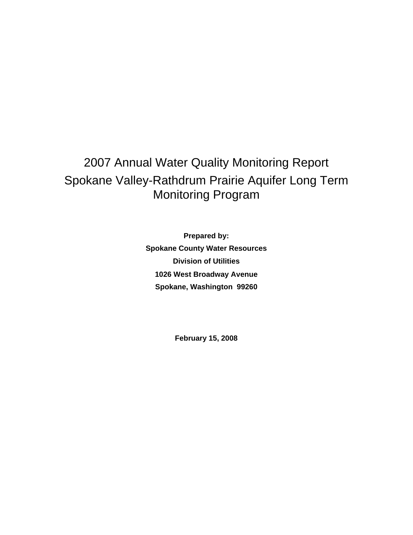# 2007 Annual Water Quality Monitoring Report Spokane Valley-Rathdrum Prairie Aquifer Long Term Monitoring Program

**Prepared by: Spokane County Water Resources Division of Utilities 1026 West Broadway Avenue Spokane, Washington 99260** 

**February 15, 2008**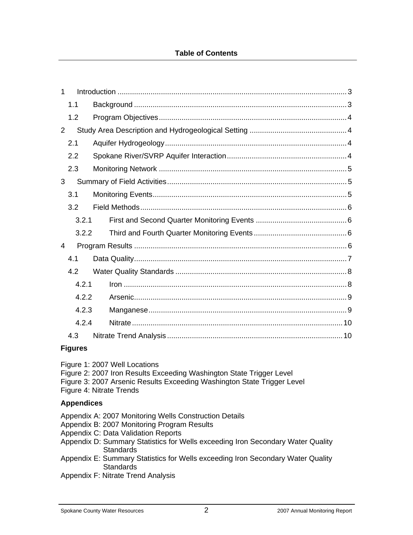#### **Table of Contents**

| 1     |  |  |  |  |  |
|-------|--|--|--|--|--|
| 1.1   |  |  |  |  |  |
| 1.2   |  |  |  |  |  |
| 2     |  |  |  |  |  |
| 2.1   |  |  |  |  |  |
| 2.2   |  |  |  |  |  |
| 2.3   |  |  |  |  |  |
| 3     |  |  |  |  |  |
| 3.1   |  |  |  |  |  |
| 3.2   |  |  |  |  |  |
| 3.2.1 |  |  |  |  |  |
| 3.2.2 |  |  |  |  |  |
| 4     |  |  |  |  |  |
| 4.1   |  |  |  |  |  |
| 4.2   |  |  |  |  |  |
| 4.2.1 |  |  |  |  |  |
| 4.2.2 |  |  |  |  |  |
| 4.2.3 |  |  |  |  |  |
| 4.2.4 |  |  |  |  |  |
| 4.3   |  |  |  |  |  |

#### **Figures**

Figure 1: 2007 Well Locations

- Figure 2: 2007 Iron Results Exceeding Washington State Trigger Level
- Figure 3: 2007 Arsenic Results Exceeding Washington State Trigger Level

Figure 4: Nitrate Trends

#### **Appendices**

Appendix A: 2007 Monitoring Wells Construction Details

- Appendix B: 2007 Monitoring Program Results
- Appendix C: Data Validation Reports
- Appendix D: Summary Statistics for Wells exceeding Iron Secondary Water Quality **Standards**
- Appendix E: Summary Statistics for Wells exceeding Iron Secondary Water Quality **Standards**
- Appendix F: Nitrate Trend Analysis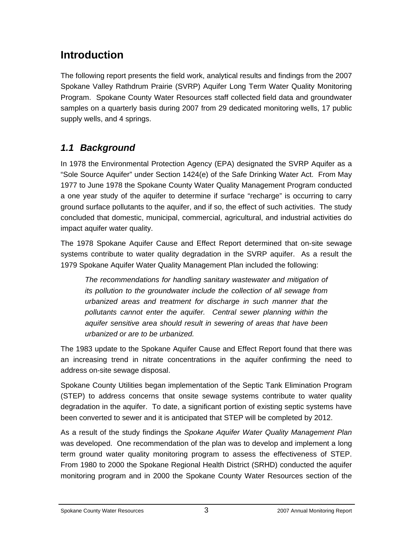# **Introduction**

The following report presents the field work, analytical results and findings from the 2007 Spokane Valley Rathdrum Prairie (SVRP) Aquifer Long Term Water Quality Monitoring Program. Spokane County Water Resources staff collected field data and groundwater samples on a quarterly basis during 2007 from 29 dedicated monitoring wells, 17 public supply wells, and 4 springs.

## *1.1 Background*

In 1978 the Environmental Protection Agency (EPA) designated the SVRP Aquifer as a "Sole Source Aquifer" under Section 1424(e) of the Safe Drinking Water Act. From May 1977 to June 1978 the Spokane County Water Quality Management Program conducted a one year study of the aquifer to determine if surface "recharge" is occurring to carry ground surface pollutants to the aquifer, and if so, the effect of such activities. The study concluded that domestic, municipal, commercial, agricultural, and industrial activities do impact aquifer water quality.

The 1978 Spokane Aquifer Cause and Effect Report determined that on-site sewage systems contribute to water quality degradation in the SVRP aquifer. As a result the 1979 Spokane Aquifer Water Quality Management Plan included the following:

*The recommendations for handling sanitary wastewater and mitigation of its pollution to the groundwater include the collection of all sewage from urbanized areas and treatment for discharge in such manner that the pollutants cannot enter the aquifer. Central sewer planning within the aquifer sensitive area should result in sewering of areas that have been urbanized or are to be urbanized.* 

The 1983 update to the Spokane Aquifer Cause and Effect Report found that there was an increasing trend in nitrate concentrations in the aquifer confirming the need to address on-site sewage disposal.

Spokane County Utilities began implementation of the Septic Tank Elimination Program (STEP) to address concerns that onsite sewage systems contribute to water quality degradation in the aquifer. To date, a significant portion of existing septic systems have been converted to sewer and it is anticipated that STEP will be completed by 2012.

As a result of the study findings the *Spokane Aquifer Water Quality Management Plan* was developed. One recommendation of the plan was to develop and implement a long term ground water quality monitoring program to assess the effectiveness of STEP. From 1980 to 2000 the Spokane Regional Health District (SRHD) conducted the aquifer monitoring program and in 2000 the Spokane County Water Resources section of the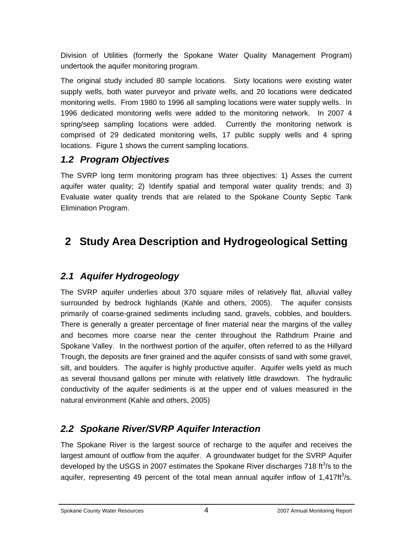Division of Utilities (formerly the Spokane Water Quality Management Program) undertook the aquifer monitoring program.

The original study included 80 sample locations. Sixty locations were existing water supply wells, both water purveyor and private wells, and 20 locations were dedicated monitoring wells. From 1980 to 1996 all sampling locations were water supply wells. In 1996 dedicated monitoring wells were added to the monitoring network. In 2007 4 spring/seep sampling locations were added. Currently the monitoring network is comprised of 29 dedicated monitoring wells, 17 public supply wells and 4 spring locations. Figure 1 shows the current sampling locations.

## *1.2 Program Objectives*

The SVRP long term monitoring program has three objectives: 1) Asses the current aquifer water quality; 2) Identify spatial and temporal water quality trends; and 3) Evaluate water quality trends that are related to the Spokane County Septic Tank Elimination Program.

# **2 Study Area Description and Hydrogeological Setting**

## *2.1 Aquifer Hydrogeology*

The SVRP aquifer underlies about 370 square miles of relatively flat, alluvial valley surrounded by bedrock highlands (Kahle and others, 2005). The aquifer consists primarily of coarse-grained sediments including sand, gravels, cobbles, and boulders. There is generally a greater percentage of finer material near the margins of the valley and becomes more coarse near the center throughout the Rathdrum Prairie and Spokane Valley. In the northwest portion of the aquifer, often referred to as the Hillyard Trough, the deposits are finer grained and the aquifer consists of sand with some gravel, silt, and boulders. The aquifer is highly productive aquifer. Aquifer wells yield as much as several thousand gallons per minute with relatively little drawdown. The hydraulic conductivity of the aquifer sediments is at the upper end of values measured in the natural environment (Kahle and others, 2005)

## *2.2 Spokane River/SVRP Aquifer Interaction*

The Spokane River is the largest source of recharge to the aquifer and receives the largest amount of outflow from the aquifer. A groundwater budget for the SVRP Aquifer developed by the USGS in 2007 estimates the Spokane River discharges 718 ft $3/$ s to the aquifer, representing 49 percent of the total mean annual aquifer inflow of 1,417ft $3$ /s.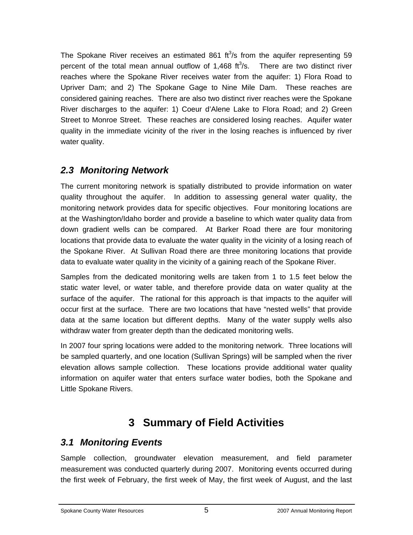The Spokane River receives an estimated 861  $ft^3/s$  from the aquifer representing 59 percent of the total mean annual outflow of  $1,468$  ft $3$ /s. There are two distinct river reaches where the Spokane River receives water from the aquifer: 1) Flora Road to Upriver Dam; and 2) The Spokane Gage to Nine Mile Dam. These reaches are considered gaining reaches. There are also two distinct river reaches were the Spokane River discharges to the aquifer: 1) Coeur d'Alene Lake to Flora Road; and 2) Green Street to Monroe Street. These reaches are considered losing reaches. Aquifer water quality in the immediate vicinity of the river in the losing reaches is influenced by river water quality.

## *2.3 Monitoring Network*

The current monitoring network is spatially distributed to provide information on water quality throughout the aquifer. In addition to assessing general water quality, the monitoring network provides data for specific objectives. Four monitoring locations are at the Washington/Idaho border and provide a baseline to which water quality data from down gradient wells can be compared. At Barker Road there are four monitoring locations that provide data to evaluate the water quality in the vicinity of a losing reach of the Spokane River. At Sullivan Road there are three monitoring locations that provide data to evaluate water quality in the vicinity of a gaining reach of the Spokane River.

Samples from the dedicated monitoring wells are taken from 1 to 1.5 feet below the static water level, or water table, and therefore provide data on water quality at the surface of the aquifer. The rational for this approach is that impacts to the aquifer will occur first at the surface. There are two locations that have "nested wells" that provide data at the same location but different depths. Many of the water supply wells also withdraw water from greater depth than the dedicated monitoring wells.

In 2007 four spring locations were added to the monitoring network. Three locations will be sampled quarterly, and one location (Sullivan Springs) will be sampled when the river elevation allows sample collection. These locations provide additional water quality information on aquifer water that enters surface water bodies, both the Spokane and Little Spokane Rivers.

# **3 Summary of Field Activities**

## *3.1 Monitoring Events*

Sample collection, groundwater elevation measurement, and field parameter measurement was conducted quarterly during 2007. Monitoring events occurred during the first week of February, the first week of May, the first week of August, and the last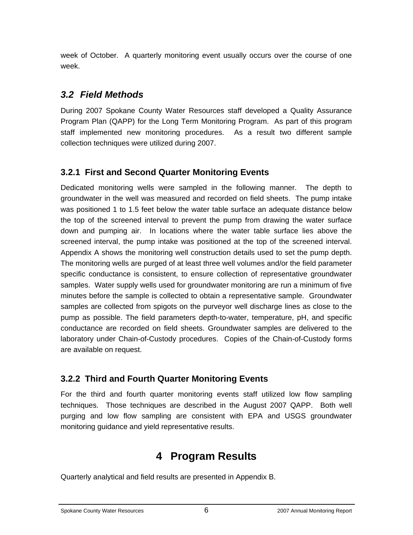week of October. A quarterly monitoring event usually occurs over the course of one week.

## *3.2 Field Methods*

During 2007 Spokane County Water Resources staff developed a Quality Assurance Program Plan (QAPP) for the Long Term Monitoring Program. As part of this program staff implemented new monitoring procedures. As a result two different sample collection techniques were utilized during 2007.

## **3.2.1 First and Second Quarter Monitoring Events**

Dedicated monitoring wells were sampled in the following manner. The depth to groundwater in the well was measured and recorded on field sheets. The pump intake was positioned 1 to 1.5 feet below the water table surface an adequate distance below the top of the screened interval to prevent the pump from drawing the water surface down and pumping air. In locations where the water table surface lies above the screened interval, the pump intake was positioned at the top of the screened interval. Appendix A shows the monitoring well construction details used to set the pump depth. The monitoring wells are purged of at least three well volumes and/or the field parameter specific conductance is consistent, to ensure collection of representative groundwater samples. Water supply wells used for groundwater monitoring are run a minimum of five minutes before the sample is collected to obtain a representative sample. Groundwater samples are collected from spigots on the purveyor well discharge lines as close to the pump as possible. The field parameters depth-to-water, temperature, pH, and specific conductance are recorded on field sheets. Groundwater samples are delivered to the laboratory under Chain-of-Custody procedures. Copies of the Chain-of-Custody forms are available on request.

### **3.2.2 Third and Fourth Quarter Monitoring Events**

For the third and fourth quarter monitoring events staff utilized low flow sampling techniques. Those techniques are described in the August 2007 QAPP. Both well purging and low flow sampling are consistent with EPA and USGS groundwater monitoring guidance and yield representative results.

# **4 Program Results**

Quarterly analytical and field results are presented in Appendix B.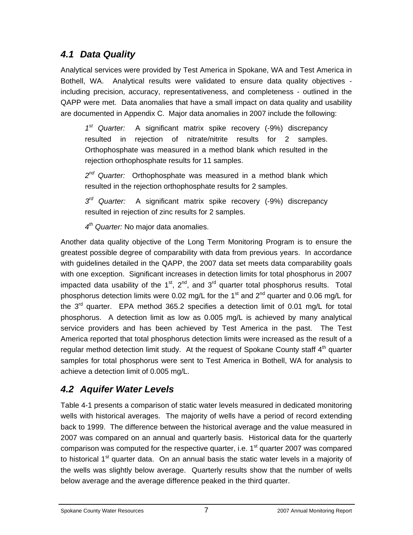## *4.1 Data Quality*

Analytical services were provided by Test America in Spokane, WA and Test America in Bothell, WA. Analytical results were validated to ensure data quality objectives including precision, accuracy, representativeness, and completeness - outlined in the QAPP were met. Data anomalies that have a small impact on data quality and usability are documented in Appendix C. Major data anomalies in 2007 include the following:

*1st Quarter:* A significant matrix spike recovery (-9%) discrepancy resulted in rejection of nitrate/nitrite results for 2 samples. Orthophosphate was measured in a method blank which resulted in the rejection orthophosphate results for 11 samples.

*2nd Quarter:* Orthophosphate was measured in a method blank which resulted in the rejection orthophosphate results for 2 samples.

*3rd Quarter:* A significant matrix spike recovery (-9%) discrepancy resulted in rejection of zinc results for 2 samples.

*4th Quarter:* No major data anomalies.

Another data quality objective of the Long Term Monitoring Program is to ensure the greatest possible degree of comparability with data from previous years. In accordance with guidelines detailed in the QAPP, the 2007 data set meets data comparability goals with one exception. Significant increases in detection limits for total phosphorus in 2007 impacted data usability of the  $1<sup>st</sup>$ ,  $2<sup>nd</sup>$ , and  $3<sup>rd</sup>$  quarter total phosphorus results. Total phosphorus detection limits were 0.02 mg/L for the 1<sup>st</sup> and 2<sup>nd</sup> quarter and 0.06 mg/L for the  $3<sup>rd</sup>$  quarter. EPA method 365.2 specifies a detection limit of 0.01 mg/L for total phosphorus. A detection limit as low as 0.005 mg/L is achieved by many analytical service providers and has been achieved by Test America in the past. The Test America reported that total phosphorus detection limits were increased as the result of a regular method detection limit study. At the request of Spokane County staff  $4<sup>th</sup>$  quarter samples for total phosphorus were sent to Test America in Bothell, WA for analysis to achieve a detection limit of 0.005 mg/L.

## *4.2 Aquifer Water Levels*

Table 4-1 presents a comparison of static water levels measured in dedicated monitoring wells with historical averages. The majority of wells have a period of record extending back to 1999. The difference between the historical average and the value measured in 2007 was compared on an annual and quarterly basis. Historical data for the quarterly comparison was computed for the respective quarter, i.e.  $1<sup>st</sup>$  quarter 2007 was compared to historical  $1<sup>st</sup>$  quarter data. On an annual basis the static water levels in a majority of the wells was slightly below average. Quarterly results show that the number of wells below average and the average difference peaked in the third quarter.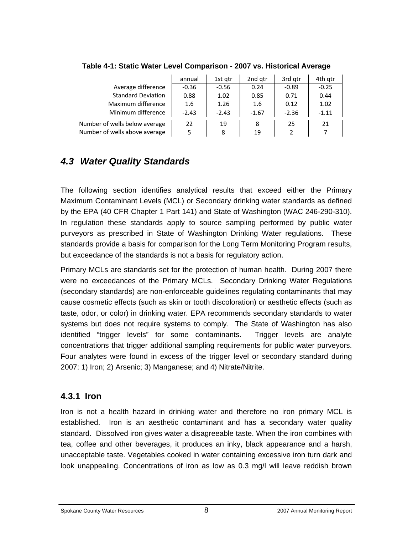|                               | annual  | 1st gtr | 2nd atr | 3rd gtr | 4th qtr |
|-------------------------------|---------|---------|---------|---------|---------|
| Average difference            | $-0.36$ | $-0.56$ | 0.24    | $-0.89$ | $-0.25$ |
| <b>Standard Deviation</b>     | 0.88    | 1.02    | 0.85    | 0.71    | 0.44    |
| Maximum difference            | 1.6     | 1.26    | 1.6     | 0.12    | 1.02    |
| Minimum difference            | $-2.43$ | $-2.43$ | $-1.67$ | $-2.36$ | $-1.11$ |
| Number of wells below average | 22      | 19      | 8       | 25      | 21      |
| Number of wells above average | 5       | 8       | 19      |         |         |

#### **Table 4-1: Static Water Level Comparison - 2007 vs. Historical Average**

## *4.3 Water Quality Standards*

The following section identifies analytical results that exceed either the Primary Maximum Contaminant Levels (MCL) or Secondary drinking water standards as defined by the EPA (40 CFR Chapter 1 Part 141) and State of Washington (WAC 246-290-310). In regulation these standards apply to source sampling performed by public water purveyors as prescribed in State of Washington Drinking Water regulations. These standards provide a basis for comparison for the Long Term Monitoring Program results, but exceedance of the standards is not a basis for regulatory action.

Primary MCLs are standards set for the protection of human health. During 2007 there were no exceedances of the Primary MCLs. Secondary Drinking Water Regulations (secondary standards) are non-enforceable guidelines regulating contaminants that may cause cosmetic effects (such as skin or tooth discoloration) or aesthetic effects (such as taste, odor, or color) in drinking water. EPA recommends secondary standards to water systems but does not require systems to comply. The State of Washington has also identified "trigger levels" for some contaminants. Trigger levels are analyte concentrations that trigger additional sampling requirements for public water purveyors. Four analytes were found in excess of the trigger level or secondary standard during 2007: 1) Iron; 2) Arsenic; 3) Manganese; and 4) Nitrate/Nitrite.

#### **4.3.1 Iron**

Iron is not a health hazard in drinking water and therefore no iron primary MCL is established. Iron is an aesthetic contaminant and has a secondary water quality standard. Dissolved iron gives water a disagreeable taste. When the iron combines with tea, coffee and other beverages, it produces an inky, black appearance and a harsh, unacceptable taste. Vegetables cooked in water containing excessive iron turn dark and look unappealing. Concentrations of iron as low as 0.3 mg/l will leave reddish brown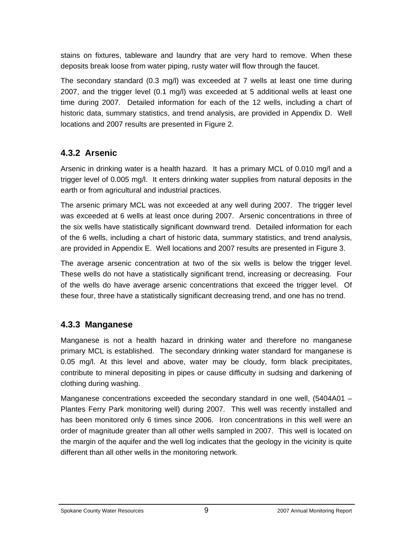stains on fixtures, tableware and laundry that are very hard to remove. When these deposits break loose from water piping, rusty water will flow through the faucet.

The secondary standard (0.3 mg/l) was exceeded at 7 wells at least one time during 2007, and the trigger level (0.1 mg/l) was exceeded at 5 additional wells at least one time during 2007. Detailed information for each of the 12 wells, including a chart of historic data, summary statistics, and trend analysis, are provided in Appendix D. Well locations and 2007 results are presented in Figure 2.

### **4.3.2 Arsenic**

Arsenic in drinking water is a health hazard. It has a primary MCL of 0.010 mg/l and a trigger level of 0.005 mg/l. It enters drinking water supplies from natural deposits in the earth or from agricultural and industrial practices.

The arsenic primary MCL was not exceeded at any well during 2007. The trigger level was exceeded at 6 wells at least once during 2007. Arsenic concentrations in three of the six wells have statistically significant downward trend. Detailed information for each of the 6 wells, including a chart of historic data, summary statistics, and trend analysis, are provided in Appendix E. Well locations and 2007 results are presented in Figure 3.

The average arsenic concentration at two of the six wells is below the trigger level. These wells do not have a statistically significant trend, increasing or decreasing. Four of the wells do have average arsenic concentrations that exceed the trigger level. Of these four, three have a statistically significant decreasing trend, and one has no trend.

### **4.3.3 Manganese**

Manganese is not a health hazard in drinking water and therefore no manganese primary MCL is established. The secondary drinking water standard for manganese is 0.05 mg/l. At this level and above, water may be cloudy, form black precipitates, contribute to mineral depositing in pipes or cause difficulty in sudsing and darkening of clothing during washing.

Manganese concentrations exceeded the secondary standard in one well, (5404A01 – Plantes Ferry Park monitoring well) during 2007. This well was recently installed and has been monitored only 6 times since 2006. Iron concentrations in this well were an order of magnitude greater than all other wells sampled in 2007. This well is located on the margin of the aquifer and the well log indicates that the geology in the vicinity is quite different than all other wells in the monitoring network.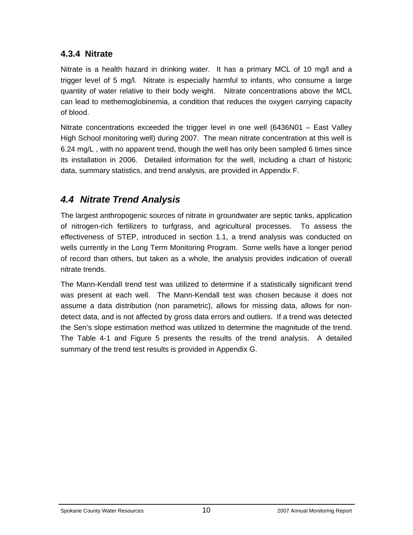### **4.3.4 Nitrate**

Nitrate is a health hazard in drinking water. It has a primary MCL of 10 mg/l and a trigger level of 5 mg/l. Nitrate is especially harmful to infants, who consume a large quantity of water relative to their body weight. Nitrate concentrations above the MCL can lead to methemoglobinemia, a condition that reduces the oxygen carrying capacity of blood.

Nitrate concentrations exceeded the trigger level in one well (6436N01 – East Valley High School monitoring well) during 2007. The mean nitrate concentration at this well is 6.24 mg/L , with no apparent trend, though the well has only been sampled 6 times since its installation in 2006. Detailed information for the well, including a chart of historic data, summary statistics, and trend analysis, are provided in Appendix F.

## *4.4 Nitrate Trend Analysis*

The largest anthropogenic sources of nitrate in groundwater are septic tanks, application of nitrogen-rich fertilizers to turfgrass, and agricultural processes. To assess the effectiveness of STEP, introduced in section 1.1, a trend analysis was conducted on wells currently in the Long Term Monitoring Program. Some wells have a longer period of record than others, but taken as a whole, the analysis provides indication of overall nitrate trends.

The Mann-Kendall trend test was utilized to determine if a statistically significant trend was present at each well. The Mann-Kendall test was chosen because it does not assume a data distribution (non parametric), allows for missing data, allows for nondetect data, and is not affected by gross data errors and outliers. If a trend was detected the Sen's slope estimation method was utilized to determine the magnitude of the trend. The Table 4-1 and Figure 5 presents the results of the trend analysis. A detailed summary of the trend test results is provided in Appendix G.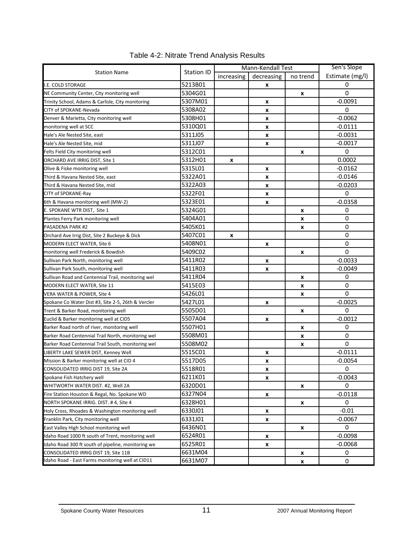|                                                    | <b>Station ID</b> | Mann-Kendall Test |            |          | Sen's Slope     |
|----------------------------------------------------|-------------------|-------------------|------------|----------|-----------------|
| <b>Station Name</b>                                |                   | increasing        | decreasing | no trend | Estimate (mg/l) |
| I.E. COLD STORAGE                                  | 5213B01           |                   | x          |          | 0               |
| NE Community Center, City monitoring well          | 5304G01           |                   |            | x        | 0               |
| Trinity School, Adams & Carlisle, City monitoring  | 5307M01           |                   | x          |          | $-0.0091$       |
| CITY of SPOKANE-Nevada                             | 5308A02           |                   | X          |          | 0               |
| Denver & Marietta, City monitoring well            | 5308H01           |                   | x          |          | $-0.0062$       |
| monitoring well at SCC                             | 5310Q01           |                   | x          |          | $-0.0111$       |
| Hale's Ale Nested Site, east                       | 5311J05           |                   | X          |          | $-0.0031$       |
| Hale's Ale Nested Site, mid                        | 5311J07           |                   | x          |          | $-0.0017$       |
| Felts Field City monitoring well                   | 5312C01           |                   |            | x        | 0               |
| ORCHARD AVE IRRIG DIST, Site 1                     | 5312H01           | x                 |            |          | 0.0002          |
| Olive & Fiske monitoring well                      | 5315L01           |                   | X          |          | $-0.0162$       |
| Third & Havana Nested Site, east                   | 5322A01           |                   | x          |          | $-0.0146$       |
| Third & Havana Nested Site, mid                    | 5322A03           |                   | X          |          | $-0.0203$       |
| CITY of SPOKANE-Ray                                | 5322F01           |                   | x          |          | 0               |
| 6th & Havana monitoring well (MW-2)                | 5323E01           |                   | X          |          | $-0.0358$       |
| E. SPOKANE WTR DIST, Site 1                        | 5324G01           |                   |            | x        | 0               |
| Plantes Ferry Park monitoring well                 | 5404A01           |                   |            | x        | 0               |
| <b>PASADENA PARK #2</b>                            | 5405K01           |                   |            | x        | 0               |
| Orchard Ave Irrig Dist, Site 2 Buckeye & Dick      | 5407C01           | X                 |            |          | 0               |
| MODERN ELECT WATER, Site 6                         | 5408N01           |                   | x          |          | 0               |
| monitoring well Frederick & Bowdish                | 5409C02           |                   |            | x        | 0               |
| Sullivan Park North, monitoring well               | 5411R02           |                   | x          |          | $-0.0033$       |
| Sullivan Park South, monitoring well               | 5411R03           |                   | X          |          | $-0.0049$       |
| Sullivan Road and Centennial Trail, monitoring wel | 5411R04           |                   |            | x        | 0               |
| MODERN ELECT WATER, Site 11                        | 5415E03           |                   |            | x        | 0               |
| VERA WATER & POWER, Site 4                         | 5426L01           |                   |            | x        | 0               |
| Spokane Co Water Dist #3, Site 2-5, 26th & Vercler | 5427L01           |                   | X          |          | $-0.0025$       |
| Trent & Barker Road, monitoring well               | 5505D01           |                   |            | x        | 0               |
| Euclid & Barker monitoring well at CID5            | 5507A04           |                   | x          |          | $-0.0012$       |
| Barker Road north of river, monitoring well        | 5507H01           |                   |            | x        | 0               |
| Barker Road Centennial Trail North, monitoring wel | 5508M01           |                   |            | X        | 0               |
| Barker Road Centennial Trail South, monitoring wel | 5508M02           |                   |            | x        | 0               |
| LIBERTY LAKE SEWER DIST, Kenney Well               | 5515C01           |                   | x          |          | $-0.0111$       |
| Mission & Barker monitoring well at CID 4          | 5517D05           |                   | x          |          | $-0.0054$       |
| CONSOLIDATED IRRIG DIST 19, Site 2A                | 5518R01           |                   | x          |          | $\bf{0}$        |
| Spokane Fish Hatchery well                         | 6211K01           |                   | X          |          | $-0.0043$       |
| WHITWORTH WATER DIST. #2, Well 2A                  | 6320D01           |                   |            | x        | 0               |
| Fire Station Houston & Regal, No. Spokane WD       | 6327N04           |                   | x          |          | $-0.0118$       |
| NORTH SPOKANE IRRIG. DIST. #4, Site 4              | 6328H01           |                   |            | x        | 0               |
| Holy Cross, Rhoades & Washington monitoring well   | 6330J01           |                   | x          |          | $-0.01$         |
| Franklin Park, City monitoring well                | 6331J01           |                   | x          |          | $-0.0067$       |
| East Valley High School monitoring well            | 6436N01           |                   |            | x        | 0               |
| Idaho Road 1000 ft south of Trent, monitoring well | 6524R01           |                   | x          |          | $-0.0098$       |
| Idaho Road 300 ft south of pipeline, monitoring we | 6525R01           |                   | x          |          | $-0.0068$       |
| CONSOLIDATED IRRIG DIST 19, Site 11B               | 6631M04           |                   |            | x        | 0               |
| Idaho Road - East Farms monitoring well at CID11   | 6631M07           |                   |            | x        | $\pmb{0}$       |

### Table 4-2: Nitrate Trend Analysis Results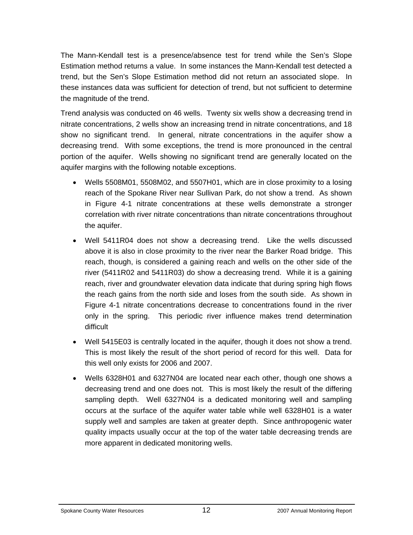The Mann-Kendall test is a presence/absence test for trend while the Sen's Slope Estimation method returns a value. In some instances the Mann-Kendall test detected a trend, but the Sen's Slope Estimation method did not return an associated slope. In these instances data was sufficient for detection of trend, but not sufficient to determine the magnitude of the trend.

Trend analysis was conducted on 46 wells. Twenty six wells show a decreasing trend in nitrate concentrations, 2 wells show an increasing trend in nitrate concentrations, and 18 show no significant trend. In general, nitrate concentrations in the aquifer show a decreasing trend. With some exceptions, the trend is more pronounced in the central portion of the aquifer. Wells showing no significant trend are generally located on the aquifer margins with the following notable exceptions.

- Wells 5508M01, 5508M02, and 5507H01, which are in close proximity to a losing reach of the Spokane River near Sullivan Park, do not show a trend. As shown in Figure 4-1 nitrate concentrations at these wells demonstrate a stronger correlation with river nitrate concentrations than nitrate concentrations throughout the aquifer.
- Well 5411R04 does not show a decreasing trend. Like the wells discussed above it is also in close proximity to the river near the Barker Road bridge. This reach, though, is considered a gaining reach and wells on the other side of the river (5411R02 and 5411R03) do show a decreasing trend. While it is a gaining reach, river and groundwater elevation data indicate that during spring high flows the reach gains from the north side and loses from the south side. As shown in Figure 4-1 nitrate concentrations decrease to concentrations found in the river only in the spring. This periodic river influence makes trend determination difficult
- Well 5415E03 is centrally located in the aquifer, though it does not show a trend. This is most likely the result of the short period of record for this well. Data for this well only exists for 2006 and 2007.
- Wells 6328H01 and 6327N04 are located near each other, though one shows a decreasing trend and one does not. This is most likely the result of the differing sampling depth. Well 6327N04 is a dedicated monitoring well and sampling occurs at the surface of the aquifer water table while well 6328H01 is a water supply well and samples are taken at greater depth. Since anthropogenic water quality impacts usually occur at the top of the water table decreasing trends are more apparent in dedicated monitoring wells.